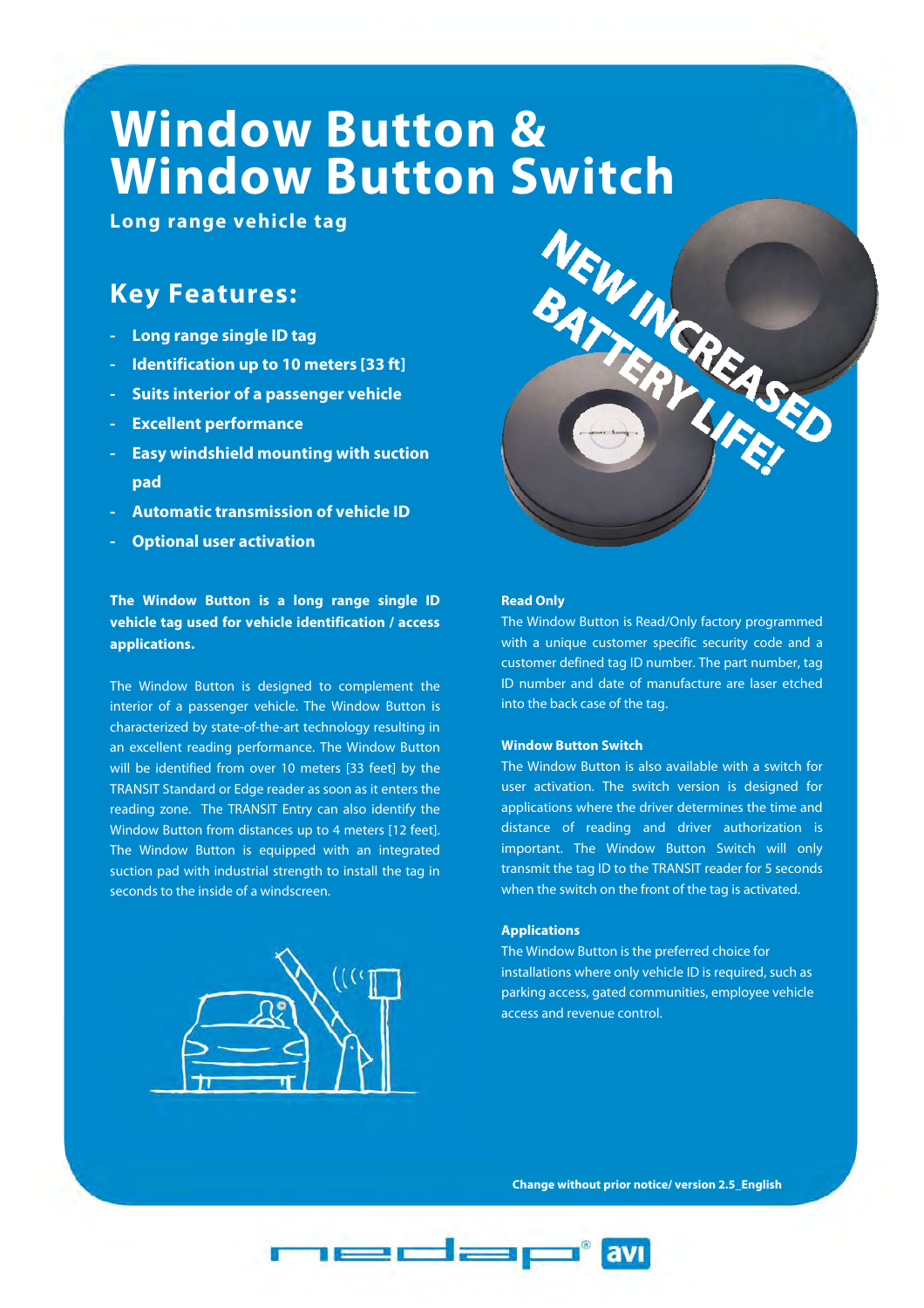# **Window Button &**

**Long range vehicle tag** 

### **Key Features:**

- **Long range single ID tag**
- **Identification up to 10 meters [33 ft]**
- **Suits interior of a passenger vehicle**
- **Excellent performance**
- **Easy windshield mounting with suction pad**
- **Automatic transmission of vehicle ID**
- **Optional user activation**

**The Window Button is a long range single ID vehicle tag used for vehicle identification / access applications.** 

The Window Button is designed to complement the interior of a passenger vehicle. The Window Button is characterized by state-of-the-art technology resulting in an excellent reading performance. The Window Button will be identified from over 10 meters [33 feet] by the TRANSIT Standard or Edge reader as soon as it enters the reading zone. The TRANSIT Entry can also identify the Window Button from distances up to 4 meters [12 feet]. The Window Button is equipped with an integrated suction pad with industrial strength to install the tag in seconds to the inside of a windscreen.





#### **Read Only**

The Window Button is Read/Only factory programmed with a unique customer specific security code and a customer defined tag ID number. The part number, tag ID number and date of manufacture are laser etched into the back case of the tag.

#### **Window Button Switch**

The Window Button is also available with a switch for user activation. The switch version is designed for applications where the driver determines the time and distance of reading and driver authorization is important. The Window Button Switch will only transmit the tag ID to the TRANSIT reader for 5 seconds when the switch on the front of the tag is activated.

#### **Applications**

The Window Button is the preferred choice for installations where only vehicle ID is required, such as parking access, gated communities, employee vehicle access and revenue control.

**Change without prior notice/ version 2.5\_English**